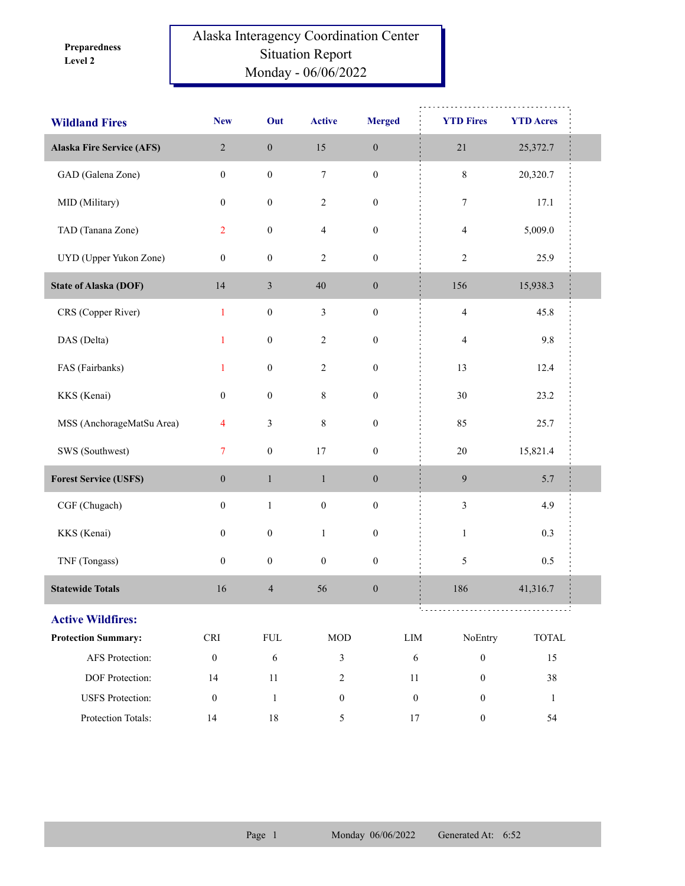**Level 2 Preparedness** 

## Alaska Interagency Coordination Center Situation Report Monday - 06/06/2022

| <b>Wildland Fires</b>            | <b>New</b>                  | Out              | <b>Active</b>           | <b>Merged</b>    | <b>YTD Fires</b>                     | <b>YTD Acres</b> |
|----------------------------------|-----------------------------|------------------|-------------------------|------------------|--------------------------------------|------------------|
| <b>Alaska Fire Service (AFS)</b> | $\overline{2}$              | $\boldsymbol{0}$ | 15                      | $\boldsymbol{0}$ | $21$                                 | 25,372.7         |
| GAD (Galena Zone)                | $\boldsymbol{0}$            | $\boldsymbol{0}$ | $\boldsymbol{7}$        | $\boldsymbol{0}$ | $\,$ $\,$                            | 20,320.7         |
| MID (Military)                   | $\boldsymbol{0}$            | $\boldsymbol{0}$ | $\overline{c}$          | $\boldsymbol{0}$ | 7                                    | 17.1             |
| TAD (Tanana Zone)                | $\overline{2}$              | $\boldsymbol{0}$ | $\overline{\mathbf{4}}$ | $\boldsymbol{0}$ | $\overline{4}$                       | 5,009.0          |
| UYD (Upper Yukon Zone)           | $\boldsymbol{0}$            | $\boldsymbol{0}$ | $\sqrt{2}$              | $\boldsymbol{0}$ | $\sqrt{2}$                           | 25.9             |
| <b>State of Alaska (DOF)</b>     | 14                          | $\mathfrak z$    | 40                      | $\boldsymbol{0}$ | 156                                  | 15,938.3         |
| CRS (Copper River)               | $\mathbf{1}$                | $\boldsymbol{0}$ | $\mathfrak{Z}$          | $\boldsymbol{0}$ | $\overline{\mathcal{L}}$             | 45.8             |
| DAS (Delta)                      | $\mathbf{1}$                | $\boldsymbol{0}$ | $\overline{c}$          | $\boldsymbol{0}$ | $\overline{4}$                       | 9.8              |
| FAS (Fairbanks)                  | $\mathbf{1}$                | $\boldsymbol{0}$ | $\overline{c}$          | $\boldsymbol{0}$ | 13                                   | 12.4             |
| KKS (Kenai)                      | $\boldsymbol{0}$            | $\boldsymbol{0}$ | $\,$ 8 $\,$             | $\boldsymbol{0}$ | 30                                   | 23.2             |
| MSS (AnchorageMatSu Area)        | $\overline{4}$              | $\mathfrak{Z}$   | $\,$ 8 $\,$             | $\boldsymbol{0}$ | 85                                   | 25.7             |
| SWS (Southwest)                  | $\overline{7}$              | $\boldsymbol{0}$ | $17\,$                  | $\boldsymbol{0}$ | $20\,$                               | 15,821.4         |
| <b>Forest Service (USFS)</b>     | $\boldsymbol{0}$            | $\,1$            | $\,1\,$                 | $\boldsymbol{0}$ | $\boldsymbol{9}$                     | 5.7              |
| CGF (Chugach)                    | $\boldsymbol{0}$            | $\,1$            | $\boldsymbol{0}$        | $\boldsymbol{0}$ | $\mathfrak{Z}$                       | 4.9              |
| KKS (Kenai)                      | $\boldsymbol{0}$            | $\boldsymbol{0}$ | $\mathbf{1}$            | $\boldsymbol{0}$ | $\mathbf{1}$                         | 0.3              |
| TNF (Tongass)                    | $\boldsymbol{0}$            | $\boldsymbol{0}$ | $\boldsymbol{0}$        | $\boldsymbol{0}$ | 5                                    | 0.5              |
| <b>Statewide Totals</b>          | 16                          | $\overline{4}$   | 56                      | $\boldsymbol{0}$ | 186                                  | 41,316.7         |
| <b>Active Wildfires:</b>         |                             |                  |                         |                  |                                      |                  |
| <b>Protection Summary:</b>       | $\ensuremath{\mathsf{CRI}}$ | <b>FUL</b>       | $\rm MOD$               |                  | ${\rm LIM}$<br>NoEntry               | <b>TOTAL</b>     |
| AFS Protection:                  | $\boldsymbol{0}$            | $\sqrt{6}$       | 3                       |                  | $\sqrt{6}$<br>$\boldsymbol{0}$       | 15               |
| DOF Protection:                  | 14                          | $11\,$           | $\overline{c}$          |                  | $\boldsymbol{0}$<br>11               | 38               |
| <b>USFS</b> Protection:          | $\boldsymbol{0}$            | $\,1\,$          | $\boldsymbol{0}$        |                  | $\boldsymbol{0}$<br>$\boldsymbol{0}$ | $\mathbf{1}$     |
| Protection Totals:               | 14                          | $18\,$           | $\mathfrak{H}$          |                  | $17\,$<br>$\boldsymbol{0}$           | 54               |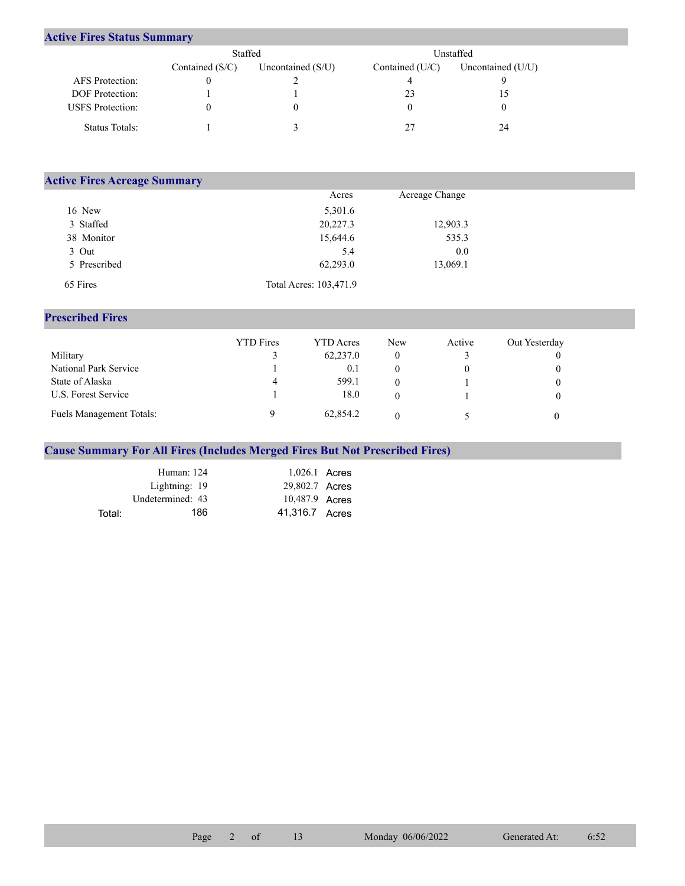## **Active Fires Status Summary**

|                         | Staffed           |                     | Unstaffed         |                     |  |
|-------------------------|-------------------|---------------------|-------------------|---------------------|--|
|                         | Contained $(S/C)$ | Uncontained $(S/U)$ | Contained $(U/C)$ | Uncontained $(U/U)$ |  |
| <b>AFS</b> Protection:  |                   |                     |                   |                     |  |
| <b>DOF</b> Protection:  |                   |                     |                   |                     |  |
| <b>USFS</b> Protection: |                   |                     |                   |                     |  |
| Status Totals:          |                   |                     |                   | 24                  |  |

| <b>Active Fires Acreage Summary</b> |                        |                |  |  |  |  |  |  |
|-------------------------------------|------------------------|----------------|--|--|--|--|--|--|
|                                     | Acres                  | Acreage Change |  |  |  |  |  |  |
| 16 New                              | 5,301.6                |                |  |  |  |  |  |  |
| 3 Staffed                           | 20,227.3               | 12,903.3       |  |  |  |  |  |  |
| 38 Monitor                          | 15,644.6               | 535.3          |  |  |  |  |  |  |
| 3 Out                               | 5.4                    | 0.0            |  |  |  |  |  |  |
| 5 Prescribed                        | 62,293.0               | 13,069.1       |  |  |  |  |  |  |
| 65 Fires                            | Total Acres: 103,471.9 |                |  |  |  |  |  |  |

## **Prescribed Fires**

|                          | <b>YTD</b> Fires | <b>YTD</b> Acres | <b>New</b> | Active | Out Yesterday |
|--------------------------|------------------|------------------|------------|--------|---------------|
| Military                 |                  | 62,237.0         |            |        |               |
| National Park Service    |                  | 0.1              |            |        |               |
| State of Alaska          | 4                | 599.1            |            |        |               |
| U.S. Forest Service      |                  | 18.0             |            |        |               |
| Fuels Management Totals: |                  | 62,854.2         |            |        |               |

## **Cause Summary For All Fires (Includes Merged Fires But Not Prescribed Fires)**

|        | Human: $124$     | $1,026.1$ Acres |  |
|--------|------------------|-----------------|--|
|        | Lightning: 19    | 29,802.7 Acres  |  |
|        | Undetermined: 43 | 10,487.9 Acres  |  |
| Total: | 186              | 41,316.7 Acres  |  |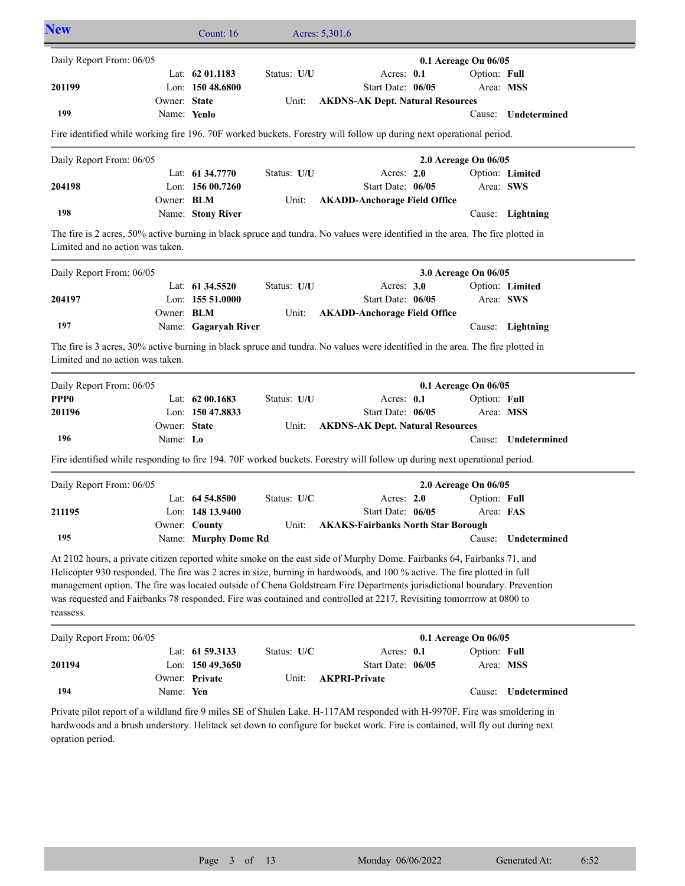| <b>New</b>                                                                                                                                                                                                                                                                                                                                                                                                                                                                                                          |                   | Count: 16                              |             | Acres: 5,301.6                                                                                                                                                                                                                                             |                           |                     |  |  |
|---------------------------------------------------------------------------------------------------------------------------------------------------------------------------------------------------------------------------------------------------------------------------------------------------------------------------------------------------------------------------------------------------------------------------------------------------------------------------------------------------------------------|-------------------|----------------------------------------|-------------|------------------------------------------------------------------------------------------------------------------------------------------------------------------------------------------------------------------------------------------------------------|---------------------------|---------------------|--|--|
| Daily Report From: 06/05                                                                                                                                                                                                                                                                                                                                                                                                                                                                                            |                   |                                        |             |                                                                                                                                                                                                                                                            | 0.1 Acreage On 06/05      |                     |  |  |
| 201199                                                                                                                                                                                                                                                                                                                                                                                                                                                                                                              |                   | Lat: $62 01.1183$<br>Lon: 150 48.6800  | Status: U/U | Acres: 0.1<br>Start Date: 06/05                                                                                                                                                                                                                            | Option: Full<br>Area: MSS |                     |  |  |
|                                                                                                                                                                                                                                                                                                                                                                                                                                                                                                                     | Owner: State      |                                        | Unit:       | <b>AKDNS-AK Dept. Natural Resources</b>                                                                                                                                                                                                                    |                           |                     |  |  |
| 199                                                                                                                                                                                                                                                                                                                                                                                                                                                                                                                 | Name: Yenlo       |                                        |             |                                                                                                                                                                                                                                                            |                           | Cause: Undetermined |  |  |
|                                                                                                                                                                                                                                                                                                                                                                                                                                                                                                                     |                   |                                        |             | Fire identified while working fire 196. 70F worked buckets. Forestry will follow up during next operational period.                                                                                                                                        |                           |                     |  |  |
| Daily Report From: 06/05                                                                                                                                                                                                                                                                                                                                                                                                                                                                                            |                   |                                        |             |                                                                                                                                                                                                                                                            | 2.0 Acreage On 06/05      |                     |  |  |
| 204198                                                                                                                                                                                                                                                                                                                                                                                                                                                                                                              |                   | Lat: 61 34.7770<br>Lon: $15600.7260$   | Status: U/U | Acres: 2.0<br>Start Date: 06/05                                                                                                                                                                                                                            | Area: SWS                 | Option: Limited     |  |  |
|                                                                                                                                                                                                                                                                                                                                                                                                                                                                                                                     | Owner: <b>BLM</b> |                                        | Unit:       | <b>AKADD-Anchorage Field Office</b>                                                                                                                                                                                                                        |                           |                     |  |  |
| 198                                                                                                                                                                                                                                                                                                                                                                                                                                                                                                                 |                   | Name: Stony River                      |             |                                                                                                                                                                                                                                                            | Cause:                    | Lightning           |  |  |
| Limited and no action was taken.                                                                                                                                                                                                                                                                                                                                                                                                                                                                                    |                   |                                        |             | The fire is 2 acres, 50% active burning in black spruce and tundra. No values were identified in the area. The fire plotted in                                                                                                                             |                           |                     |  |  |
| Daily Report From: 06/05                                                                                                                                                                                                                                                                                                                                                                                                                                                                                            |                   |                                        |             |                                                                                                                                                                                                                                                            | 3.0 Acreage On 06/05      |                     |  |  |
| 204197                                                                                                                                                                                                                                                                                                                                                                                                                                                                                                              |                   | Lat: 61 34.5520<br>Lon: 155 51.0000    | Status: U/U | Acres: 3.0<br>Start Date: 06/05                                                                                                                                                                                                                            | Area: SWS                 | Option: Limited     |  |  |
|                                                                                                                                                                                                                                                                                                                                                                                                                                                                                                                     | Owner: BLM        |                                        | Unit:       | <b>AKADD-Anchorage Field Office</b>                                                                                                                                                                                                                        |                           |                     |  |  |
| 197                                                                                                                                                                                                                                                                                                                                                                                                                                                                                                                 |                   | Name: Gagaryah River                   |             |                                                                                                                                                                                                                                                            |                           | Cause: Lightning    |  |  |
| Limited and no action was taken.                                                                                                                                                                                                                                                                                                                                                                                                                                                                                    |                   |                                        |             | The fire is 3 acres, 30% active burning in black spruce and tundra. No values were identified in the area. The fire plotted in                                                                                                                             |                           |                     |  |  |
| Daily Report From: 06/05                                                                                                                                                                                                                                                                                                                                                                                                                                                                                            |                   |                                        |             |                                                                                                                                                                                                                                                            | 0.1 Acreage On 06/05      |                     |  |  |
| PPP <sub>0</sub><br>201196                                                                                                                                                                                                                                                                                                                                                                                                                                                                                          |                   | Lat: $6200.1683$<br>Lon: 150 47.8833   | Status: U/U | Acres: 0.1<br>Start Date: 06/05                                                                                                                                                                                                                            | Option: Full<br>Area: MSS |                     |  |  |
|                                                                                                                                                                                                                                                                                                                                                                                                                                                                                                                     | Owner: State      |                                        | Unit:       | <b>AKDNS-AK Dept. Natural Resources</b>                                                                                                                                                                                                                    |                           |                     |  |  |
| 196                                                                                                                                                                                                                                                                                                                                                                                                                                                                                                                 | Name: Lo          |                                        |             |                                                                                                                                                                                                                                                            | Cause:                    | Undetermined        |  |  |
|                                                                                                                                                                                                                                                                                                                                                                                                                                                                                                                     |                   |                                        |             | Fire identified while responding to fire 194. 70F worked buckets. Forestry will follow up during next operational period.                                                                                                                                  |                           |                     |  |  |
| Daily Report From: 06/05                                                                                                                                                                                                                                                                                                                                                                                                                                                                                            |                   |                                        |             |                                                                                                                                                                                                                                                            | 2.0 Acreage On 06/05      |                     |  |  |
| 211195                                                                                                                                                                                                                                                                                                                                                                                                                                                                                                              |                   | Lat: $64\,54.8500$<br>Lon: 148 13.9400 | Status: U/C | Acres: 2.0<br>Start Date: 06/05                                                                                                                                                                                                                            | Option: Full<br>Area: FAS |                     |  |  |
|                                                                                                                                                                                                                                                                                                                                                                                                                                                                                                                     |                   | Owner: County                          |             | Unit: AKAKS-Fairbanks North Star Borough                                                                                                                                                                                                                   |                           |                     |  |  |
| 195                                                                                                                                                                                                                                                                                                                                                                                                                                                                                                                 |                   | Name: Murphy Dome Rd                   |             |                                                                                                                                                                                                                                                            |                           | Cause: Undetermined |  |  |
| At 2102 hours, a private citizen reported white smoke on the east side of Murphy Dome. Fairbanks 64, Fairbanks 71, and<br>Helicopter 930 responded. The fire was 2 acres in size, burning in hardwoods, and 100 % active. The fire plotted in full<br>management option. The fire was located outside of Chena Goldstream Fire Departments jurisdictional boundary. Prevention<br>was requested and Fairbanks 78 responded. Fire was contained and controlled at 2217. Revisiting tomorrrow at 0800 to<br>reassess. |                   |                                        |             |                                                                                                                                                                                                                                                            |                           |                     |  |  |
| Daily Report From: 06/05                                                                                                                                                                                                                                                                                                                                                                                                                                                                                            |                   |                                        |             |                                                                                                                                                                                                                                                            | 0.1 Acreage On 06/05      |                     |  |  |
| 201194                                                                                                                                                                                                                                                                                                                                                                                                                                                                                                              |                   | Lat: 61 59.3133<br>Lon: 150 49.3650    | Status: U/C | Acres: 0.1<br>Start Date: 06/05                                                                                                                                                                                                                            | Option: Full<br>Area: MSS |                     |  |  |
| 194                                                                                                                                                                                                                                                                                                                                                                                                                                                                                                                 | Name: Yen         | Owner: Private                         | Unit:       | <b>AKPRI-Private</b>                                                                                                                                                                                                                                       | Cause:                    | Undetermined        |  |  |
| opration period.                                                                                                                                                                                                                                                                                                                                                                                                                                                                                                    |                   |                                        |             | Private pilot report of a wildland fire 9 miles SE of Shulen Lake. H-117AM responded with H-9970F. Fire was smoldering in<br>hardwoods and a brush understory. Helitack set down to configure for bucket work. Fire is contained, will fly out during next |                           |                     |  |  |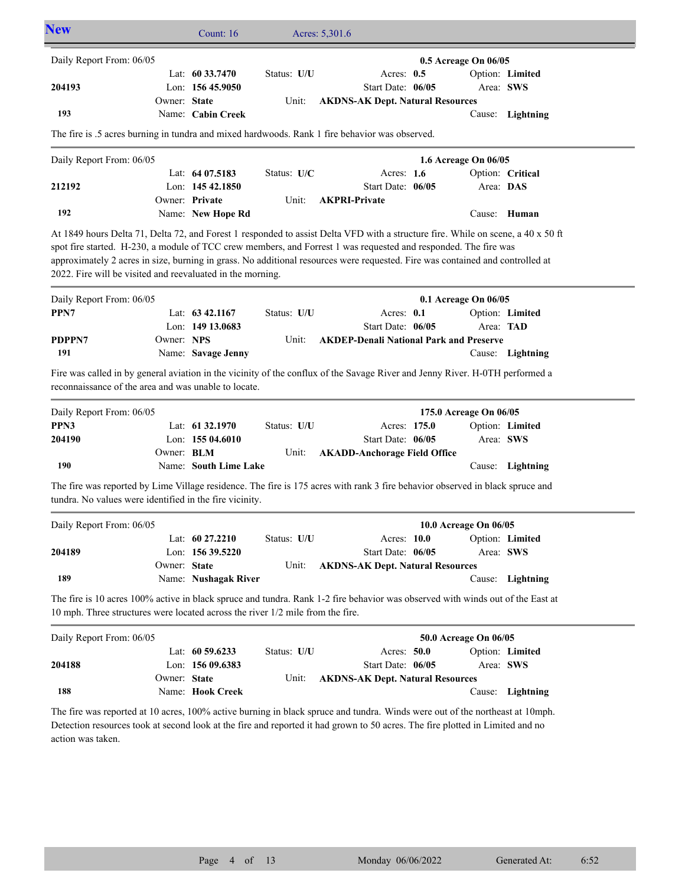| <b>New</b>                                                                                                                                                                                                                                                                                                                                                                                                                                         |                   | Count: $16$                         |             | Acres: 5,301.6                                               |              |                        |                  |
|----------------------------------------------------------------------------------------------------------------------------------------------------------------------------------------------------------------------------------------------------------------------------------------------------------------------------------------------------------------------------------------------------------------------------------------------------|-------------------|-------------------------------------|-------------|--------------------------------------------------------------|--------------|------------------------|------------------|
| Daily Report From: 06/05                                                                                                                                                                                                                                                                                                                                                                                                                           |                   |                                     |             |                                                              |              | 0.5 Acreage On 06/05   |                  |
|                                                                                                                                                                                                                                                                                                                                                                                                                                                    |                   | Lat: 60 33.7470                     | Status: U/U |                                                              | Acres: $0.5$ |                        | Option: Limited  |
| 204193                                                                                                                                                                                                                                                                                                                                                                                                                                             | Owner: State      | Lon: $15645.9050$                   | Unit:       | Start Date: 06/05<br><b>AKDNS-AK Dept. Natural Resources</b> |              |                        | Area: SWS        |
| 193                                                                                                                                                                                                                                                                                                                                                                                                                                                |                   | Name: Cabin Creek                   |             |                                                              |              |                        | Cause: Lightning |
| The fire is .5 acres burning in tundra and mixed hardwoods. Rank 1 fire behavior was observed.                                                                                                                                                                                                                                                                                                                                                     |                   |                                     |             |                                                              |              |                        |                  |
| Daily Report From: 06/05                                                                                                                                                                                                                                                                                                                                                                                                                           |                   |                                     |             |                                                              |              | 1.6 Acreage On 06/05   |                  |
|                                                                                                                                                                                                                                                                                                                                                                                                                                                    |                   | Lat: 64 07.5183                     | Status: U/C |                                                              | Acres: 1.6   |                        | Option: Critical |
| 212192                                                                                                                                                                                                                                                                                                                                                                                                                                             |                   | Lon: $14542.1850$                   |             | Start Date: 06/05                                            |              |                        | Area: DAS        |
| 192                                                                                                                                                                                                                                                                                                                                                                                                                                                |                   | Owner: Private<br>Name: New Hope Rd | Unit:       | <b>AKPRI-Private</b>                                         |              |                        | Cause: Human     |
|                                                                                                                                                                                                                                                                                                                                                                                                                                                    |                   |                                     |             |                                                              |              |                        |                  |
| At 1849 hours Delta 71, Delta 72, and Forest 1 responded to assist Delta VFD with a structure fire. While on scene, a 40 x 50 ft<br>spot fire started. H-230, a module of TCC crew members, and Forrest 1 was requested and responded. The fire was<br>approximately 2 acres in size, burning in grass. No additional resources were requested. Fire was contained and controlled at<br>2022. Fire will be visited and reevaluated in the morning. |                   |                                     |             |                                                              |              |                        |                  |
| Daily Report From: 06/05                                                                                                                                                                                                                                                                                                                                                                                                                           |                   |                                     |             |                                                              |              | 0.1 Acreage On 06/05   |                  |
| PPN7                                                                                                                                                                                                                                                                                                                                                                                                                                               |                   | Lat: 63 42,1167                     | Status: U/U |                                                              | Acres: 0.1   |                        | Option: Limited  |
|                                                                                                                                                                                                                                                                                                                                                                                                                                                    |                   | Lon: 149 13.0683                    |             | Start Date: 06/05                                            |              |                        | Area: TAD        |
| PDPPN7                                                                                                                                                                                                                                                                                                                                                                                                                                             | Owner: NPS        |                                     | Unit:       | <b>AKDEP-Denali National Park and Preserve</b>               |              |                        |                  |
| 191                                                                                                                                                                                                                                                                                                                                                                                                                                                |                   | Name: Savage Jenny                  |             |                                                              |              |                        | Cause: Lightning |
| Fire was called in by general aviation in the vicinity of the conflux of the Savage River and Jenny River. H-0TH performed a<br>reconnaissance of the area and was unable to locate.                                                                                                                                                                                                                                                               |                   |                                     |             |                                                              |              |                        |                  |
| Daily Report From: 06/05                                                                                                                                                                                                                                                                                                                                                                                                                           |                   |                                     |             |                                                              |              | 175.0 Acreage On 06/05 |                  |
| PPN3                                                                                                                                                                                                                                                                                                                                                                                                                                               |                   | Lat: 61 32.1970                     | Status: U/U |                                                              | Acres: 175.0 |                        | Option: Limited  |
| 204190                                                                                                                                                                                                                                                                                                                                                                                                                                             |                   | Lon: $15504.6010$                   |             | Start Date: 06/05                                            |              |                        | Area: SWS        |
| 190                                                                                                                                                                                                                                                                                                                                                                                                                                                | Owner: <b>BLM</b> | Name: South Lime Lake               | Unit:       | <b>AKADD-Anchorage Field Office</b>                          |              |                        | Cause: Lightning |
|                                                                                                                                                                                                                                                                                                                                                                                                                                                    |                   |                                     |             |                                                              |              |                        |                  |
| The fire was reported by Lime Village residence. The fire is 175 acres with rank 3 fire behavior observed in black spruce and<br>tundra. No values were identified in the fire vicinity.                                                                                                                                                                                                                                                           |                   |                                     |             |                                                              |              |                        |                  |
| Daily Report From: 06/05                                                                                                                                                                                                                                                                                                                                                                                                                           |                   |                                     |             |                                                              |              | 10.0 Acreage On 06/05  |                  |
|                                                                                                                                                                                                                                                                                                                                                                                                                                                    |                   | Lat: $6027.2210$                    | Status: U/U |                                                              | Acres: 10.0  |                        | Option: Limited  |
| 204189                                                                                                                                                                                                                                                                                                                                                                                                                                             |                   | Lon: 156 39.5220                    |             | Start Date: 06/05                                            |              |                        | Area: SWS        |
|                                                                                                                                                                                                                                                                                                                                                                                                                                                    | Owner: State      |                                     | Unit:       | <b>AKDNS-AK Dept. Natural Resources</b>                      |              |                        |                  |
| 189                                                                                                                                                                                                                                                                                                                                                                                                                                                |                   | Name: Nushagak River                |             |                                                              |              |                        | Cause: Lightning |
| The fire is 10 acres 100% active in black spruce and tundra. Rank 1-2 fire behavior was observed with winds out of the East at<br>10 mph. Three structures were located across the river 1/2 mile from the fire.                                                                                                                                                                                                                                   |                   |                                     |             |                                                              |              |                        |                  |
| Daily Report From: 06/05                                                                                                                                                                                                                                                                                                                                                                                                                           |                   |                                     |             |                                                              |              | 50.0 Acreage On 06/05  |                  |
|                                                                                                                                                                                                                                                                                                                                                                                                                                                    |                   | Lat: 60 59.6233                     | Status: U/U |                                                              | Acres: 50.0  |                        | Option: Limited  |
| 204188                                                                                                                                                                                                                                                                                                                                                                                                                                             |                   | Lon: 156 09.6383                    |             | Start Date: 06/05                                            |              |                        | Area: SWS        |
|                                                                                                                                                                                                                                                                                                                                                                                                                                                    | Owner: State      |                                     | Unit:       | <b>AKDNS-AK Dept. Natural Resources</b>                      |              |                        |                  |
| 188                                                                                                                                                                                                                                                                                                                                                                                                                                                |                   | Name: Hook Creek                    |             |                                                              |              |                        | Cause: Lightning |
| The fire was reported at 10 acres, 100% active burning in black spruce and tundra. Winds were out of the northeast at 10mph.<br>Detection resources took at second look at the fire and reported it had grown to 50 acres. The fire plotted in Limited and no<br>action was taken.                                                                                                                                                                 |                   |                                     |             |                                                              |              |                        |                  |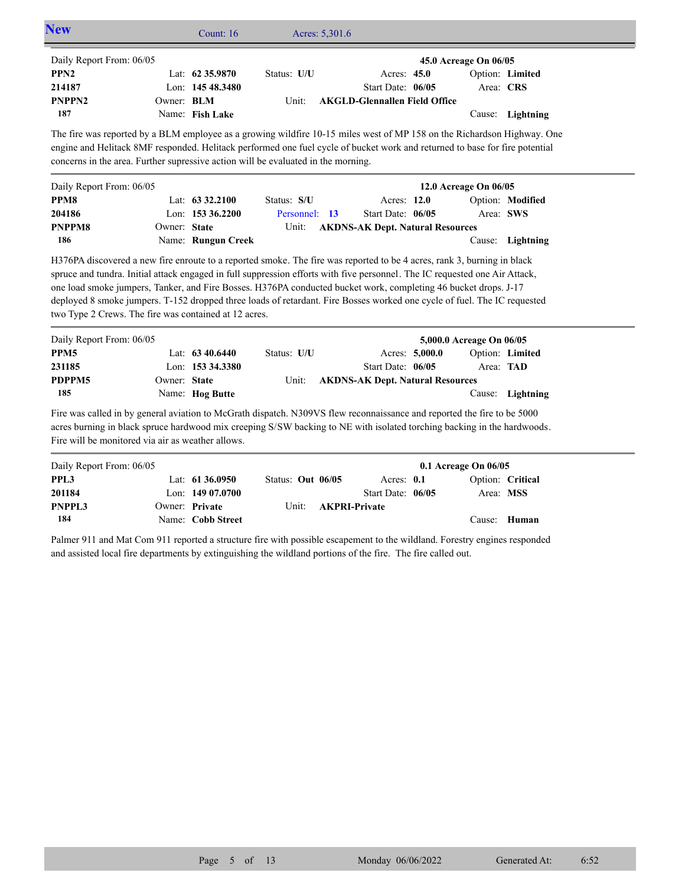| Daily Report From: 06/05                                                                                                                                                                                                                                                                                                                                                                                                                                                                                                                                       |                   |                                      |                   |                      |                                         |                | 45.0 Acreage On 06/05    |                              |
|----------------------------------------------------------------------------------------------------------------------------------------------------------------------------------------------------------------------------------------------------------------------------------------------------------------------------------------------------------------------------------------------------------------------------------------------------------------------------------------------------------------------------------------------------------------|-------------------|--------------------------------------|-------------------|----------------------|-----------------------------------------|----------------|--------------------------|------------------------------|
| PPN <sub>2</sub>                                                                                                                                                                                                                                                                                                                                                                                                                                                                                                                                               |                   | Lat: 62 35.9870                      | Status: U/U       |                      | Acres: 45.0                             |                |                          | Option: Limited              |
| 214187                                                                                                                                                                                                                                                                                                                                                                                                                                                                                                                                                         |                   | Lon: 145 48.3480                     |                   |                      | Start Date: 06/05                       |                |                          | Area: CRS                    |
| PNPPN <sub>2</sub>                                                                                                                                                                                                                                                                                                                                                                                                                                                                                                                                             | Owner: <b>BLM</b> |                                      | Unit:             |                      | <b>AKGLD-Glennallen Field Office</b>    |                |                          |                              |
| 187                                                                                                                                                                                                                                                                                                                                                                                                                                                                                                                                                            |                   | Name: Fish Lake                      |                   |                      |                                         |                |                          | Cause: Lightning             |
| The fire was reported by a BLM employee as a growing wildfire 10-15 miles west of MP 158 on the Richardson Highway. One<br>engine and Helitack 8MF responded. Helitack performed one fuel cycle of bucket work and returned to base for fire potential<br>concerns in the area. Further supressive action will be evaluated in the morning.                                                                                                                                                                                                                    |                   |                                      |                   |                      |                                         |                |                          |                              |
| Daily Report From: 06/05                                                                                                                                                                                                                                                                                                                                                                                                                                                                                                                                       |                   |                                      |                   |                      |                                         |                | 12.0 Acreage On 06/05    |                              |
| PPM8                                                                                                                                                                                                                                                                                                                                                                                                                                                                                                                                                           |                   | Lat: 63 32.2100                      | Status: S/U       |                      | Acres: 12.0                             |                |                          | Option: Modified             |
| 204186                                                                                                                                                                                                                                                                                                                                                                                                                                                                                                                                                         |                   | Lon: 153 36.2200                     | Personnel: 13     |                      | Start Date: 06/05                       |                |                          | Area: SWS                    |
| PNPPM8                                                                                                                                                                                                                                                                                                                                                                                                                                                                                                                                                         | Owner: State      |                                      | Unit:             |                      | <b>AKDNS-AK Dept. Natural Resources</b> |                |                          |                              |
| 186                                                                                                                                                                                                                                                                                                                                                                                                                                                                                                                                                            |                   | Name: Rungun Creek                   |                   |                      |                                         |                |                          | Cause: Lightning             |
|                                                                                                                                                                                                                                                                                                                                                                                                                                                                                                                                                                |                   |                                      |                   |                      |                                         |                |                          |                              |
| H376PA discovered a new fire enroute to a reported smoke. The fire was reported to be 4 acres, rank 3, burning in black<br>spruce and tundra. Initial attack engaged in full suppression efforts with five personnel. The IC requested one Air Attack,<br>one load smoke jumpers, Tanker, and Fire Bosses. H376PA conducted bucket work, completing 46 bucket drops. J-17<br>deployed 8 smoke jumpers. T-152 dropped three loads of retardant. Fire Bosses worked one cycle of fuel. The IC requested<br>two Type 2 Crews. The fire was contained at 12 acres. |                   |                                      |                   |                      |                                         |                |                          |                              |
| Daily Report From: 06/05                                                                                                                                                                                                                                                                                                                                                                                                                                                                                                                                       |                   |                                      |                   |                      |                                         |                | 5,000.0 Acreage On 06/05 |                              |
|                                                                                                                                                                                                                                                                                                                                                                                                                                                                                                                                                                |                   | Lat: $6340.6440$<br>Lon: 153 34.3380 | Status: U/U       |                      | Start Date: 06/05                       | Acres: 5,000.0 |                          | Option: Limited<br>Area: TAD |
|                                                                                                                                                                                                                                                                                                                                                                                                                                                                                                                                                                | Owner: State      |                                      | Unit:             |                      |                                         |                |                          |                              |
| 185                                                                                                                                                                                                                                                                                                                                                                                                                                                                                                                                                            |                   | Name: Hog Butte                      |                   |                      | <b>AKDNS-AK Dept. Natural Resources</b> |                |                          | Cause: Lightning             |
| PPM5<br>231185<br>PDPPM5<br>Fire was called in by general aviation to McGrath dispatch. N309VS flew reconnaissance and reported the fire to be 5000<br>acres burning in black spruce hardwood mix creeping S/SW backing to NE with isolated torching backing in the hardwoods.<br>Fire will be monitored via air as weather allows.                                                                                                                                                                                                                            |                   |                                      |                   |                      |                                         |                |                          |                              |
| Daily Report From: 06/05                                                                                                                                                                                                                                                                                                                                                                                                                                                                                                                                       |                   |                                      |                   |                      |                                         |                | 0.1 Acreage On 06/05     |                              |
|                                                                                                                                                                                                                                                                                                                                                                                                                                                                                                                                                                |                   | Lat: $61\,36.0950$                   | Status: Out 06/05 |                      | Acres: 0.1                              |                |                          | Option: Critical             |
| PPL3<br>201184                                                                                                                                                                                                                                                                                                                                                                                                                                                                                                                                                 |                   | Lon: 149 07.0700                     |                   |                      | Start Date: 06/05                       |                |                          | Area: MSS                    |
| <b>PNPPL3</b><br>184                                                                                                                                                                                                                                                                                                                                                                                                                                                                                                                                           |                   | Owner: Private<br>Name: Cobb Street  | Unit:             | <b>AKPRI-Private</b> |                                         |                |                          | Cause: Human                 |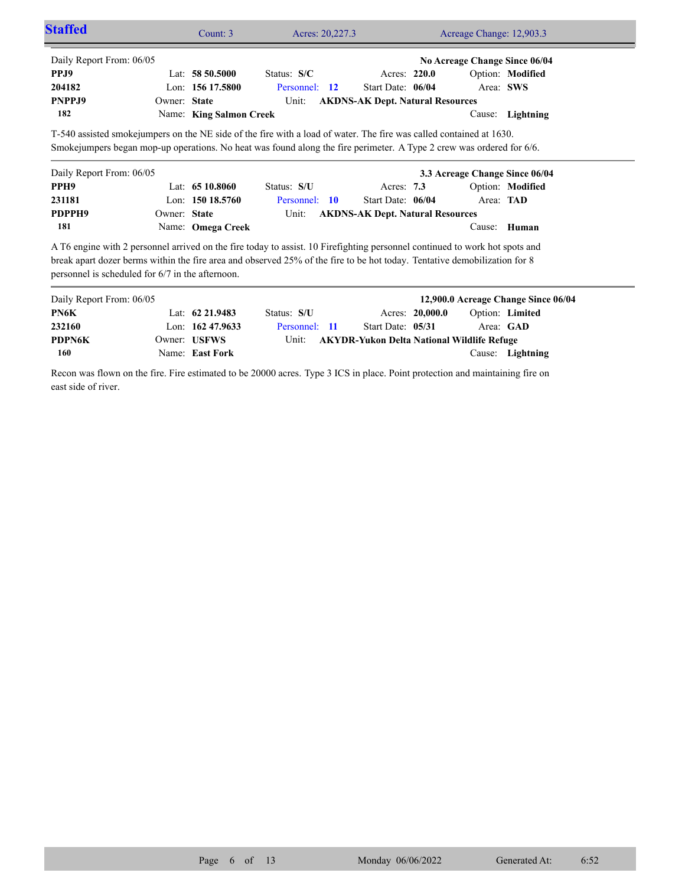| <b>Staffed</b>                                   |              | Count: $3$              | Acres: 20,227.3                                                                                                             |                                         | Acreage Change: 12,903.3       |                  |  |
|--------------------------------------------------|--------------|-------------------------|-----------------------------------------------------------------------------------------------------------------------------|-----------------------------------------|--------------------------------|------------------|--|
| Daily Report From: 06/05                         |              |                         |                                                                                                                             |                                         | No Acreage Change Since 06/04  |                  |  |
| PPJ9                                             |              | Lat: $5850.5000$        | Status: $S/C$                                                                                                               | Acres: 220.0                            |                                | Option: Modified |  |
| 204182                                           |              | Lon: $15617.5800$       | Personnel: 12                                                                                                               | Start Date: 06/04                       | Area: SWS                      |                  |  |
| PNPPJ9                                           | Owner: State |                         | Unit:                                                                                                                       | <b>AKDNS-AK Dept. Natural Resources</b> |                                |                  |  |
| 182                                              |              | Name: King Salmon Creek |                                                                                                                             |                                         |                                | Cause: Lightning |  |
| Daily Report From: 06/05                         |              |                         |                                                                                                                             |                                         | 3.3 Acreage Change Since 06/04 |                  |  |
| PPH <sub>9</sub>                                 |              | Lat: $6510.8060$        | Status: S/U                                                                                                                 | Acres: 7.3                              |                                | Option: Modified |  |
| 231181                                           |              | Lon: $15018.5760$       | Personnel: 10                                                                                                               | Start Date: 06/04                       | Area: TAD                      |                  |  |
| PDPPH9                                           | Owner: State |                         | Unit:                                                                                                                       | <b>AKDNS-AK Dept. Natural Resources</b> |                                |                  |  |
| 181                                              |              | Name: Omega Creek       |                                                                                                                             |                                         |                                | Cause: Human     |  |
|                                                  |              |                         | A T6 engine with 2 personnel arrived on the fire today to assist. 10 Firefighting personnel continued to work hot spots and |                                         |                                |                  |  |
|                                                  |              |                         | break apart dozer berms within the fire area and observed 25% of the fire to be hot today. Tentative demobilization for 8   |                                         |                                |                  |  |
| personnel is scheduled for 6/7 in the afternoon. |              |                         |                                                                                                                             |                                         |                                |                  |  |

| Daily Report From: 06/05 |                     |               |                                                  |                 | 12,900.0 Acreage Change Since 06/04 |                        |  |
|--------------------------|---------------------|---------------|--------------------------------------------------|-----------------|-------------------------------------|------------------------|--|
| PN6K                     | Lat: $62\,21.9483$  | Status: S/U   |                                                  | Acres: 20,000.0 |                                     | <b>Option:</b> Limited |  |
| 232160                   | Lon: $162\,47.9633$ | Personnel: 11 | Start Date: 05/31                                |                 |                                     | Area: GAD              |  |
| <b>PDPN6K</b>            | Owner: USFWS        |               | Unit: AKYDR-Yukon Delta National Wildlife Refuge |                 |                                     |                        |  |
| 160                      | Name: East Fork     |               |                                                  |                 |                                     | Cause: Lightning       |  |

Recon was flown on the fire. Fire estimated to be 20000 acres. Type 3 ICS in place. Point protection and maintaining fire on east side of river.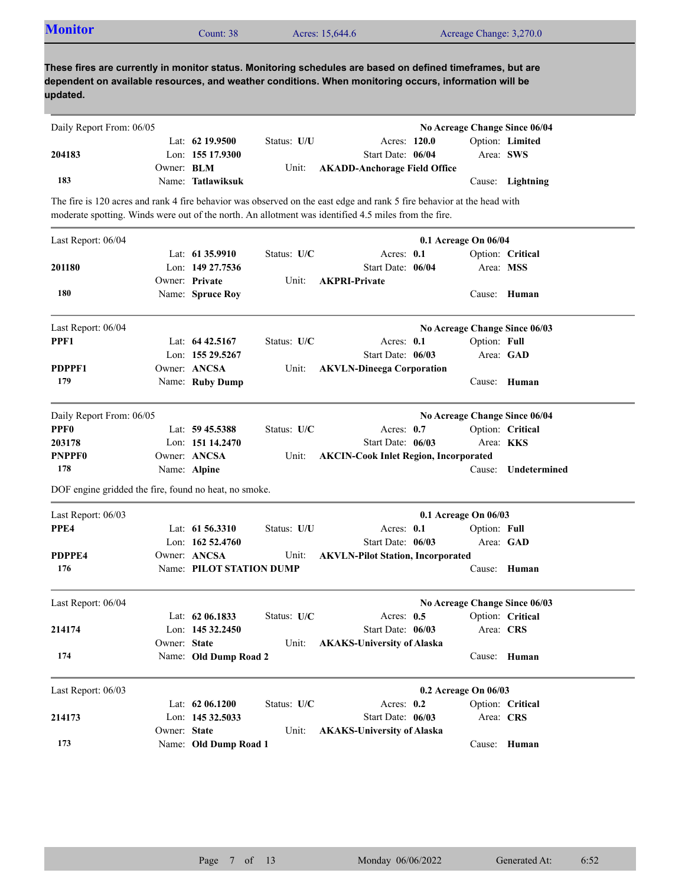| <b>Monitor</b> | Count: 38 | Acres: 15,644.6 | Acreage Change: 3,270.0 |  |
|----------------|-----------|-----------------|-------------------------|--|
|                |           |                 |                         |  |

| Daily Report From: 06/05 |                   |                   |             |                                    |  | No Acreage Change Since 06/04 |
|--------------------------|-------------------|-------------------|-------------|------------------------------------|--|-------------------------------|
|                          |                   | Lat: $62$ 19.9500 | Status: U/U | Acres: 120.0                       |  | Option: Limited               |
| 204183                   |                   | Lon: $15517.9300$ |             | Start Date: 06/04                  |  | Area: SWS                     |
|                          | Owner: <b>BLM</b> |                   |             | Unit: AKADD-Anchorage Field Office |  |                               |
| 183                      |                   | Name: Tatlawiksuk |             |                                    |  | Cause: Lightning              |

The fire is 120 acres and rank 4 fire behavior was observed on the east edge and rank 5 fire behavior at the head with moderate spotting. Winds were out of the north. An allotment was identified 4.5 miles from the fire.

| Last Report: 06/04                                    |              |                                        |             |                                              | 0.1 Acreage On 06/04          |                               |
|-------------------------------------------------------|--------------|----------------------------------------|-------------|----------------------------------------------|-------------------------------|-------------------------------|
| 201180                                                |              | Lat: $61\,35.9910$<br>Lon: 149 27.7536 | Status: U/C | Acres: 0.1<br>Start Date: 06/04              |                               | Option: Critical<br>Area: MSS |
| 180                                                   |              | Owner: Private<br>Name: Spruce Roy     | Unit:       | <b>AKPRI-Private</b>                         |                               | Cause: Human                  |
| Last Report: 06/04                                    |              |                                        |             |                                              | No Acreage Change Since 06/03 |                               |
| PPF1                                                  |              | Lat: 64 42.5167                        | Status: U/C | Acres: $0.1$                                 | Option: Full                  |                               |
|                                                       |              | Lon: 155 29.5267                       |             | Start Date: 06/03                            |                               | Area: GAD                     |
| PDPPF1                                                |              | Owner: ANCSA                           | Unit:       | <b>AKVLN-Dineega Corporation</b>             |                               |                               |
| 179                                                   |              | Name: Ruby Dump                        |             |                                              |                               | Cause: Human                  |
| Daily Report From: 06/05                              |              |                                        |             |                                              | No Acreage Change Since 06/04 |                               |
| <b>PPF0</b>                                           |              | Lat: 59 45.5388                        | Status: U/C | Acres: 0.7                                   |                               | Option: Critical              |
| 203178                                                |              | Lon: 151 14.2470                       |             | Start Date: 06/03                            |                               | Area: KKS                     |
| <b>PNPPF0</b>                                         |              | Owner: ANCSA                           | Unit:       | <b>AKCIN-Cook Inlet Region, Incorporated</b> |                               |                               |
| 178                                                   |              | Name: Alpine                           |             |                                              | Cause:                        | Undetermined                  |
| DOF engine gridded the fire, found no heat, no smoke. |              |                                        |             |                                              |                               |                               |
| Last Report: 06/03                                    |              |                                        |             |                                              | 0.1 Acreage On 06/03          |                               |
| PPE4                                                  |              | Lat: $61\,56.3310$                     | Status: U/U | Acres: 0.1                                   | Option: Full                  |                               |
|                                                       |              | Lon: 162 52.4760                       |             | Start Date: 06/03                            |                               | Area: GAD                     |
| PDPPE4                                                |              | Owner: ANCSA                           | Unit:       | <b>AKVLN-Pilot Station, Incorporated</b>     |                               |                               |
| 176                                                   |              | Name: PILOT STATION DUMP               |             |                                              |                               | Cause: Human                  |
| Last Report: 06/04                                    |              |                                        |             |                                              | No Acreage Change Since 06/03 |                               |
|                                                       |              | Lat: $62\,06.1833$                     | Status: U/C | Acres: $0.5$                                 |                               | Option: Critical              |
| 214174                                                |              | Lon: $14532.2450$                      |             | Start Date: 06/03                            |                               | Area: CRS                     |
|                                                       | Owner: State |                                        | Unit:       | <b>AKAKS-University of Alaska</b>            |                               |                               |
| 174                                                   |              | Name: Old Dump Road 2                  |             |                                              |                               | Cause: Human                  |
| Last Report: 06/03                                    |              |                                        |             |                                              | 0.2 Acreage On 06/03          |                               |
|                                                       |              | Lat: $6206.1200$                       | Status: U/C | Acres: $0.2$                                 |                               | Option: Critical              |
| 214173                                                |              | Lon: 145 32.5033                       |             | Start Date: 06/03                            |                               | Area: CRS                     |
|                                                       | Owner: State |                                        | Unit:       | <b>AKAKS-University of Alaska</b>            |                               |                               |
| 173                                                   |              | Name: Old Dump Road 1                  |             |                                              |                               | Cause: Human                  |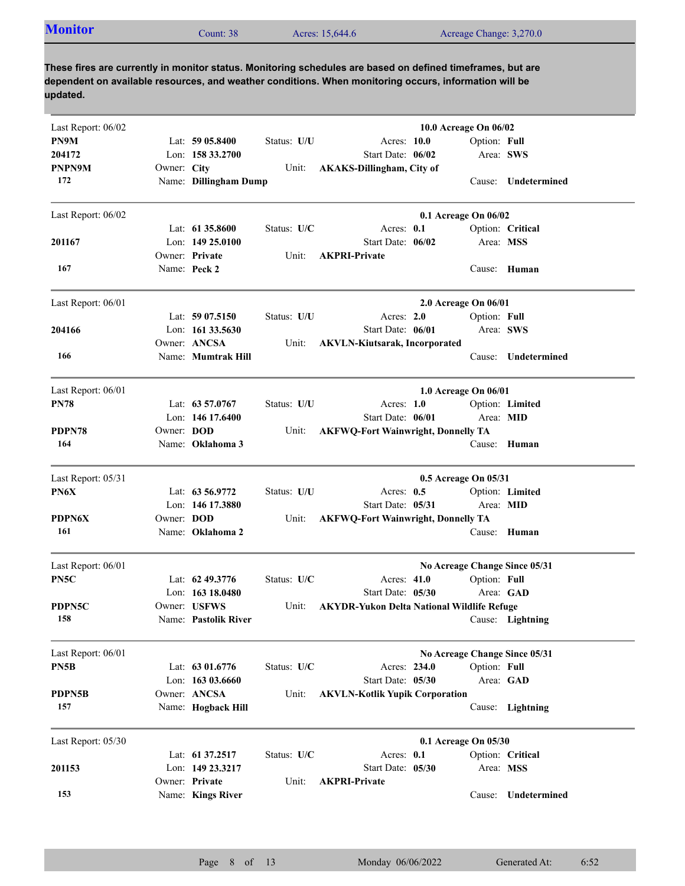| <b>Monitor</b><br>Acreage Change: 3,270.0<br>Acres: 15,644.6<br>Count: 38 |  |
|---------------------------------------------------------------------------|--|
|---------------------------------------------------------------------------|--|

| Last Report: 06/02 |             |                                    |             |                                                   | 10.0 Acreage On 06/02 |                               |
|--------------------|-------------|------------------------------------|-------------|---------------------------------------------------|-----------------------|-------------------------------|
| PN9M               |             | Lat: 59 05.8400                    | Status: U/U | Acres: 10.0                                       | Option: Full          |                               |
| 204172             |             | Lon: 158 33.2700                   |             | Start Date: 06/02                                 | Area: SWS             |                               |
| PNPN9M             | Owner: City |                                    | Unit:       | <b>AKAKS-Dillingham, City of</b>                  |                       |                               |
| 172                |             | Name: Dillingham Dump              |             |                                                   |                       | Cause: Undetermined           |
| Last Report: 06/02 |             |                                    |             |                                                   | 0.1 Acreage On 06/02  |                               |
|                    |             | Lat: 61 35,8600                    | Status: U/C | Acres: 0.1                                        |                       | Option: Critical              |
| 201167             |             | Lon: $14925.0100$                  |             | Start Date: 06/02                                 | Area: MSS             |                               |
|                    |             | Owner: Private                     | Unit:       | <b>AKPRI-Private</b>                              |                       |                               |
| 167                |             | Name: Peck 2                       |             |                                                   | Cause:                | Human                         |
| Last Report: 06/01 |             |                                    |             |                                                   | 2.0 Acreage On 06/01  |                               |
|                    |             | Lat: $5907.5150$                   | Status: U/U | Acres: 2.0                                        | Option: Full          |                               |
| 204166             |             | Lon: $16133.5630$                  |             | Start Date: 06/01                                 | Area: SWS             |                               |
|                    |             | Owner: ANCSA                       | Unit:       | <b>AKVLN-Kiutsarak, Incorporated</b>              |                       |                               |
| 166                |             | Name: Mumtrak Hill                 |             |                                                   | Cause:                | <b>Undetermined</b>           |
| Last Report: 06/01 |             |                                    |             |                                                   | 1.0 Acreage On 06/01  |                               |
| <b>PN78</b>        |             | Lat: 63 57.0767                    | Status: U/U | Acres: $1.0$                                      |                       | Option: Limited               |
|                    |             | Lon: 146 17.6400                   |             | Start Date: 06/01                                 | Area: MID             |                               |
| PDPN78             | Owner: DOD  |                                    | Unit:       | <b>AKFWQ-Fort Wainwright, Donnelly TA</b>         |                       |                               |
| 164                |             | Name: Oklahoma 3                   |             |                                                   | Cause:                | Human                         |
| Last Report: 05/31 |             |                                    |             |                                                   | 0.5 Acreage On 05/31  |                               |
| PN6X               |             | Lat: 63 56.9772                    | Status: U/U | Acres: $0.5$                                      |                       | Option: Limited               |
|                    |             | Lon: 146 17.3880                   |             | Start Date: 05/31                                 | Area: MID             |                               |
| <b>PDPN6X</b>      | Owner: DOD  |                                    | Unit:       | <b>AKFWQ-Fort Wainwright, Donnelly TA</b>         |                       |                               |
| 161                |             | Name: Oklahoma 2                   |             |                                                   |                       | Cause: Human                  |
| Last Report: 06/01 |             |                                    |             |                                                   |                       | No Acreage Change Since 05/31 |
| PN5C               |             | Lat: $62\,49.3776$                 | Status: U/C | Acres: 41.0                                       | Option: Full          |                               |
|                    |             | Lon: 163 18.0480                   |             | Start Date: 05/30                                 | Area: GAD             |                               |
| PDPN5C             |             | Owner: USFWS                       | Unit:       | <b>AKYDR-Yukon Delta National Wildlife Refuge</b> |                       |                               |
| 158                |             | Name: Pastolik River               |             |                                                   |                       | Cause: Lightning              |
| Last Report: 06/01 |             |                                    |             |                                                   |                       | No Acreage Change Since 05/31 |
| PN5B               |             | Lat: 63 01.6776                    | Status: U/C | Acres: 234.0                                      | Option: Full          |                               |
|                    |             | Lon: 163 03.6660                   |             | Start Date: 05/30                                 | Area: GAD             |                               |
| PDPN5B             |             | Owner: ANCSA                       | Unit:       | <b>AKVLN-Kotlik Yupik Corporation</b>             |                       |                               |
| 157                |             | Name: Hogback Hill                 |             |                                                   |                       | Cause: Lightning              |
| Last Report: 05/30 |             |                                    |             |                                                   | 0.1 Acreage On 05/30  |                               |
|                    |             | Lat: 61 37.2517                    | Status: U/C | Acres: 0.1                                        |                       | Option: Critical              |
| 201153             |             | Lon: 149 23.3217<br>Owner: Private | Unit:       | Start Date: 05/30<br><b>AKPRI-Private</b>         | Area: MSS             |                               |
| 153                |             | Name: Kings River                  |             |                                                   | Cause:                | Undetermined                  |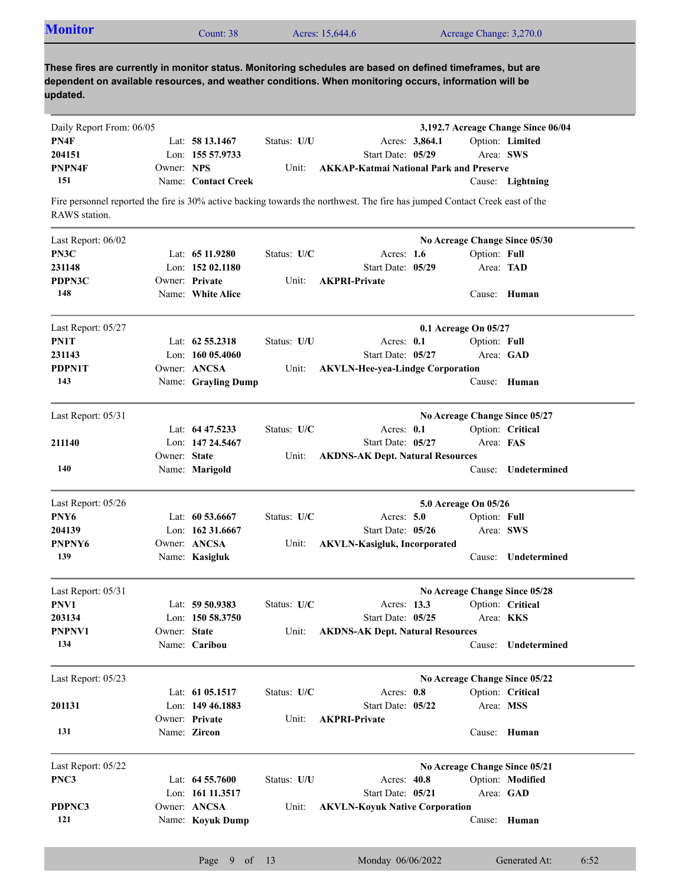| <b>Monitor</b> | Count: 38 | Acres: 15,644.6 | Acreage Change: 3,270.0 |
|----------------|-----------|-----------------|-------------------------|
|                |           |                 |                         |

| Daily Report From: 06/05 |              |                     |               |                                                                                                                             |                      | 3,192.7 Acreage Change Since 06/04 |
|--------------------------|--------------|---------------------|---------------|-----------------------------------------------------------------------------------------------------------------------------|----------------------|------------------------------------|
| PN4F                     |              | Lat: 58 13.1467     | Status: U/U   | Acres: 3,864.1                                                                                                              |                      | Option: Limited                    |
| 204151                   |              | Lon: 155 57.9733    |               | Start Date: 05/29                                                                                                           | Area: SWS            |                                    |
| PNPN4F                   | Owner: NPS   |                     | Unit:         | <b>AKKAP-Katmai National Park and Preserve</b>                                                                              |                      |                                    |
| 151                      |              | Name: Contact Creek |               |                                                                                                                             |                      | Cause: Lightning                   |
|                          |              |                     |               | Fire personnel reported the fire is 30% active backing towards the northwest. The fire has jumped Contact Creek east of the |                      |                                    |
| RAWS station.            |              |                     |               |                                                                                                                             |                      |                                    |
| Last Report: 06/02       |              |                     |               |                                                                                                                             |                      | No Acreage Change Since 05/30      |
| PN3C                     |              | Lat: 65 11.9280     | Status: U/C   | Acres: $1.6$                                                                                                                | Option: Full         |                                    |
| 231148                   |              | Lon: $15202.1180$   |               | Start Date: 05/29                                                                                                           | Area: TAD            |                                    |
| PDPN3C                   |              | Owner: Private      | Unit:         | <b>AKPRI-Private</b>                                                                                                        |                      |                                    |
| 148                      |              | Name: White Alice   |               |                                                                                                                             |                      | Cause: Human                       |
| Last Report: 05/27       |              |                     |               |                                                                                                                             | 0.1 Acreage On 05/27 |                                    |
| PN1T                     |              | Lat: $62\,55.2318$  | Status: U/U   | Acres: 0.1                                                                                                                  | Option: Full         |                                    |
| 231143                   |              | Lon: $16005.4060$   |               | Start Date: 05/27                                                                                                           |                      | Area: GAD                          |
| PDPN1T                   |              | Owner: ANCSA        | Unit:         | <b>AKVLN-Hee-yea-Lindge Corporation</b>                                                                                     |                      |                                    |
| 143                      |              | Name: Grayling Dump |               |                                                                                                                             |                      | Cause: Human                       |
| Last Report: 05/31       |              |                     |               |                                                                                                                             |                      | No Acreage Change Since 05/27      |
|                          |              | Lat: $64\,47.5233$  | Status: U/C   | Acres: 0.1                                                                                                                  |                      | Option: Critical                   |
| 211140                   |              | Lon: 147 24.5467    |               | Start Date: 05/27                                                                                                           | Area: FAS            |                                    |
|                          | Owner: State |                     | Unit:         | <b>AKDNS-AK Dept. Natural Resources</b>                                                                                     |                      |                                    |
| 140                      |              | Name: Marigold      |               |                                                                                                                             | Cause:               | Undetermined                       |
| Last Report: 05/26       |              |                     |               |                                                                                                                             | 5.0 Acreage On 05/26 |                                    |
| PNY <sub>6</sub>         |              | Lat: $60\,53.6667$  | Status: U/C   | Acres: $5.0$                                                                                                                | Option: Full         |                                    |
| 204139                   |              | Lon: $16231.6667$   |               | Start Date: 05/26                                                                                                           | Area: SWS            |                                    |
| PNPNY <sub>6</sub>       |              | Owner: ANCSA        | Unit:         | <b>AKVLN-Kasigluk, Incorporated</b>                                                                                         |                      |                                    |
| 139                      |              | Name: Kasigluk      |               |                                                                                                                             | Cause:               | Undetermined                       |
| Last Report: 05/31       |              |                     |               |                                                                                                                             |                      | No Acreage Change Since 05/28      |
| PNV1                     |              | Lat: 59 50.9383     | Status: $U/C$ | Acres: 13.3                                                                                                                 |                      | Option: Critical                   |
| 203134                   |              | Lon: 150 58.3750    |               | Start Date: 05/25                                                                                                           | Area: KKS            |                                    |
| PNPNV1                   | Owner: State |                     | Unit:         | <b>AKDNS-AK Dept. Natural Resources</b>                                                                                     |                      |                                    |
| 134                      |              | Name: Caribou       |               |                                                                                                                             | Cause:               | Undetermined                       |
| Last Report: 05/23       |              |                     |               |                                                                                                                             |                      | No Acreage Change Since 05/22      |
|                          |              | Lat: 61 05.1517     | Status: U/C   | Acres: 0.8                                                                                                                  |                      | Option: Critical                   |
| 201131                   |              | Lon: 149 46.1883    |               | Start Date: 05/22                                                                                                           | Area: MSS            |                                    |
|                          |              | Owner: Private      | Unit:         | <b>AKPRI-Private</b>                                                                                                        |                      |                                    |
| 131                      |              | Name: Zircon        |               |                                                                                                                             |                      | Cause: Human                       |
| Last Report: 05/22       |              |                     |               |                                                                                                                             |                      | No Acreage Change Since 05/21      |
| PNC3                     |              | Lat: $64\,55.7600$  | Status: U/U   | Acres: 40.8                                                                                                                 |                      | Option: Modified                   |
|                          |              | Lon: 161 11.3517    |               | Start Date: 05/21                                                                                                           |                      | Area: GAD                          |
| PDPNC3                   |              | Owner: ANCSA        | Unit:         | <b>AKVLN-Koyuk Native Corporation</b>                                                                                       |                      |                                    |
| 121                      |              | Name: Koyuk Dump    |               |                                                                                                                             |                      | Cause: Human                       |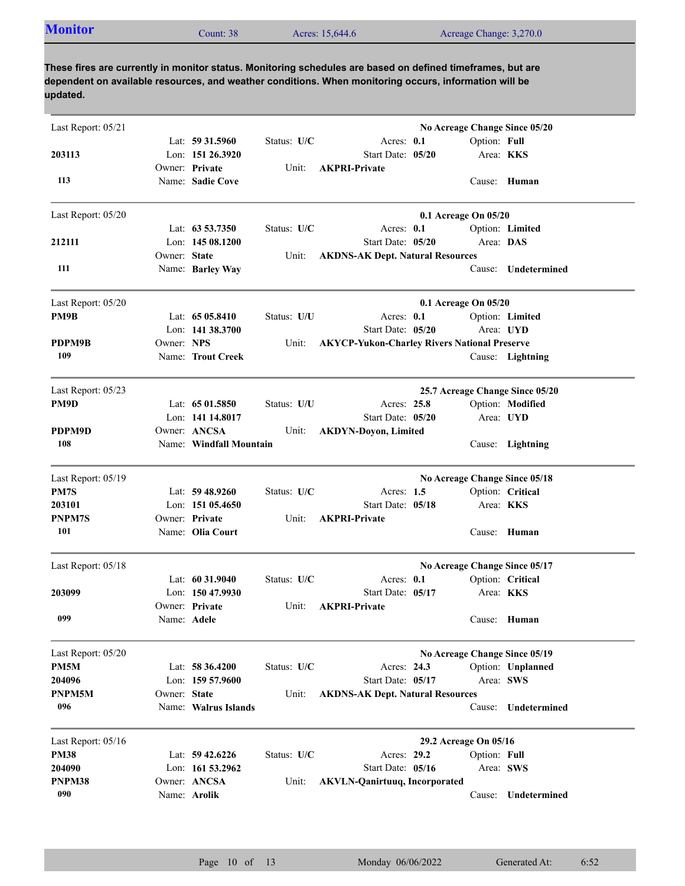| <b>Monitor</b><br>Acreage Change: 3,270.0<br>Acres: 15,644.6<br>Count: 38' |  |
|----------------------------------------------------------------------------|--|
|----------------------------------------------------------------------------|--|

| Last Report: 05/21 |              |                                     |             |                                                     |                       |                           | No Acreage Change Since 05/20   |
|--------------------|--------------|-------------------------------------|-------------|-----------------------------------------------------|-----------------------|---------------------------|---------------------------------|
| 203113             |              | Lat: 59 31.5960<br>Lon: 151 26.3920 | Status: U/C | Acres: 0.1<br>Start Date: 05/20                     |                       | Option: Full<br>Area: KKS |                                 |
|                    |              | Owner: Private                      | Unit:       | <b>AKPRI-Private</b>                                |                       |                           |                                 |
| 113                |              | Name: Sadie Cove                    |             |                                                     |                       |                           | Cause: Human                    |
| Last Report: 05/20 |              |                                     |             |                                                     | 0.1 Acreage On 05/20  |                           |                                 |
|                    |              | Lat: $63\,53.7350$                  | Status: U/C | Acres: 0.1                                          |                       |                           | Option: Limited                 |
| 212111             |              | Lon: 145 08.1200                    |             | Start Date: 05/20                                   |                       | Area: DAS                 |                                 |
|                    | Owner: State |                                     | Unit:       | <b>AKDNS-AK Dept. Natural Resources</b>             |                       |                           |                                 |
| 111                |              | Name: Barley Way                    |             |                                                     |                       | Cause:                    | Undetermined                    |
| Last Report: 05/20 |              |                                     |             |                                                     | 0.1 Acreage On 05/20  |                           |                                 |
| PM9B               |              | Lat: 65 05.8410                     | Status: U/U | Acres: 0.1                                          |                       |                           | Option: Limited                 |
|                    |              | Lon: $141\,38.3700$                 |             | Start Date: 05/20                                   |                       |                           | Area: UYD                       |
| PDPM9B             | Owner: NPS   |                                     | Unit:       | <b>AKYCP-Yukon-Charley Rivers National Preserve</b> |                       |                           |                                 |
| 109                |              | Name: Trout Creek                   |             |                                                     |                       |                           | Cause: Lightning                |
| Last Report: 05/23 |              |                                     |             |                                                     |                       |                           | 25.7 Acreage Change Since 05/20 |
| PM9D               |              | Lat: $6501.5850$                    | Status: U/U | Acres: 25.8                                         |                       |                           | Option: Modified                |
|                    |              | Lon: 141 14.8017                    |             | Start Date: 05/20                                   |                       |                           | Area: UYD                       |
| PDPM9D             |              | Owner: ANCSA                        | Unit:       | <b>AKDYN-Doyon, Limited</b>                         |                       |                           |                                 |
| 108                |              | Name: Windfall Mountain             |             |                                                     |                       |                           | Cause: Lightning                |
| Last Report: 05/19 |              |                                     |             |                                                     |                       |                           | No Acreage Change Since 05/18   |
| PM7S               |              | Lat: 59 48.9260                     | Status: U/C | Acres: $1.5$                                        |                       |                           | Option: Critical                |
| 203101             |              | Lon: $15105.4650$                   |             | Start Date: 05/18                                   |                       | Area: <b>KKS</b>          |                                 |
| <b>PNPM7S</b>      |              | Owner: Private                      | Unit:       | <b>AKPRI-Private</b>                                |                       |                           |                                 |
| 101                |              | Name: Olia Court                    |             |                                                     |                       |                           | Cause: Human                    |
| Last Report: 05/18 |              |                                     |             |                                                     |                       |                           | No Acreage Change Since 05/17   |
|                    |              | Lat: $60\,31.9040$                  | Status: U/C | Acres: 0.1                                          |                       |                           | Option: Critical                |
| 203099             |              | Lon: 150 47.9930                    |             | Start Date: 05/17                                   |                       | Area: KKS                 |                                 |
|                    |              | Owner: Private                      | Unit:       | <b>AKPRI-Private</b>                                |                       |                           |                                 |
| 099                | Name: Adele  |                                     |             |                                                     |                       |                           | Cause: Human                    |
| Last Report: 05/20 |              |                                     |             |                                                     |                       |                           | No Acreage Change Since 05/19   |
| PM5M               |              | Lat: $58\,36.4200$                  | Status: U/C | Acres: 24.3                                         |                       |                           | Option: Unplanned               |
| 204096             |              | Lon: 159 57.9600                    |             | Start Date: 05/17                                   |                       | Area: SWS                 |                                 |
| PNPM5M             | Owner: State |                                     | Unit:       | <b>AKDNS-AK Dept. Natural Resources</b>             |                       |                           |                                 |
| 096                |              | Name: Walrus Islands                |             |                                                     |                       | Cause:                    | Undetermined                    |
| Last Report: 05/16 |              |                                     |             |                                                     | 29.2 Acreage On 05/16 |                           |                                 |
| <b>PM38</b>        |              | Lat: $59\,42.6226$                  | Status: U/C | Acres: 29.2                                         |                       | Option: Full              |                                 |
| 204090             |              | Lon: $161\,53.2962$                 |             | Start Date: 05/16                                   |                       | Area: SWS                 |                                 |
| PNPM38             |              | Owner: ANCSA                        | Unit:       | <b>AKVLN-Qanirtuuq, Incorporated</b>                |                       |                           |                                 |
| 090                |              | Name: Arolik                        |             |                                                     |                       | Cause:                    | Undetermined                    |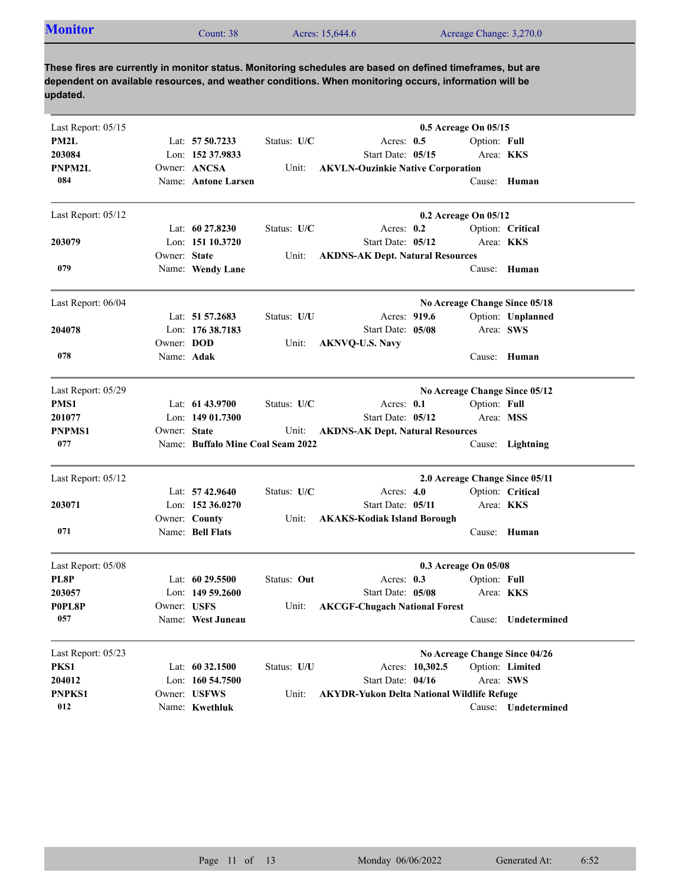| <b>Monitor</b> | $\text{Count: } 38$ | Acres: 15,644.6 | Acreage Change: 3,270.0 |
|----------------|---------------------|-----------------|-------------------------|

| Last Report: 05/15 |              |                                   |             |                                                   | 0.5 Acreage On 05/15 |              |                                |
|--------------------|--------------|-----------------------------------|-------------|---------------------------------------------------|----------------------|--------------|--------------------------------|
| PM2L               |              | Lat: 57 50.7233                   | Status: U/C | Acres: 0.5                                        |                      | Option: Full |                                |
| 203084             |              | Lon: 152 37.9833                  |             | Start Date: 05/15                                 |                      |              | Area: <b>KKS</b>               |
| <b>PNPM2L</b>      |              | Owner: ANCSA                      | Unit:       | <b>AKVLN-Ouzinkie Native Corporation</b>          |                      |              |                                |
| 084                |              | Name: Antone Larsen               |             |                                                   |                      |              | Cause: Human                   |
| Last Report: 05/12 |              |                                   |             |                                                   | 0.2 Acreage On 05/12 |              |                                |
|                    |              | Lat: $60\,27.8230$                | Status: U/C | Acres: $0.2$                                      |                      |              | Option: Critical               |
| 203079             |              | Lon: 151 10.3720                  |             | Start Date: 05/12                                 |                      | Area: KKS    |                                |
|                    | Owner: State |                                   | Unit:       | <b>AKDNS-AK Dept. Natural Resources</b>           |                      |              |                                |
| 079                |              | Name: Wendy Lane                  |             |                                                   |                      |              | Cause: Human                   |
| Last Report: 06/04 |              |                                   |             |                                                   |                      |              | No Acreage Change Since 05/18  |
|                    |              | Lat: 51 57.2683                   | Status: U/U | Acres: 919.6                                      |                      |              | Option: Unplanned              |
| 204078             |              | Lon: 176 38.7183                  |             | Start Date: 05/08                                 |                      | Area: SWS    |                                |
|                    | Owner: DOD   |                                   | Unit:       | <b>AKNVQ-U.S. Navy</b>                            |                      |              |                                |
| 078                | Name: Adak   |                                   |             |                                                   |                      |              | Cause: Human                   |
| Last Report: 05/29 |              |                                   |             |                                                   |                      |              | No Acreage Change Since 05/12  |
| PMS1               |              | Lat: $6143.9700$                  | Status: U/C | Acres: $0.1$                                      |                      | Option: Full |                                |
| 201077             |              | Lon: $14901.7300$                 |             | Start Date: 05/12                                 |                      | Area: MSS    |                                |
| <b>PNPMS1</b>      | Owner: State |                                   | Unit:       | <b>AKDNS-AK Dept. Natural Resources</b>           |                      |              |                                |
| 077                |              | Name: Buffalo Mine Coal Seam 2022 |             |                                                   |                      |              | Cause: Lightning               |
| Last Report: 05/12 |              |                                   |             |                                                   |                      |              | 2.0 Acreage Change Since 05/11 |
|                    |              | Lat: $57\,42.9640$                | Status: U/C | Acres: $4.0$                                      |                      |              | Option: Critical               |
| 203071             |              | Lon: $152\,36.0270$               |             | Start Date: 05/11                                 |                      |              | Area: <b>KKS</b>               |
|                    |              | Owner: County                     | Unit:       | <b>AKAKS-Kodiak Island Borough</b>                |                      |              |                                |
| 071                |              | Name: Bell Flats                  |             |                                                   |                      | Cause:       | Human                          |
| Last Report: 05/08 |              |                                   |             |                                                   | 0.3 Acreage On 05/08 |              |                                |
| PL8P               |              | Lat: $6029.5500$                  | Status: Out | Acres: 0.3                                        |                      | Option: Full |                                |
| 203057             |              | Lon: $14959.2600$                 |             | Start Date: 05/08                                 |                      |              | Area: <b>KKS</b>               |
| P0PL8P             | Owner: USFS  |                                   | Unit:       | <b>AKCGF-Chugach National Forest</b>              |                      |              |                                |
| 057                |              | Name: West Juneau                 |             |                                                   |                      | Cause:       | Undetermined                   |
| Last Report: 05/23 |              |                                   |             |                                                   |                      |              | No Acreage Change Since 04/26  |
| PKS1               |              | Lat: 60 32.1500                   | Status: U/U |                                                   | Acres: 10,302.5      |              | Option: Limited                |
| 204012             |              | Lon: 160 54.7500                  |             | Start Date: 04/16                                 |                      | Area: SWS    |                                |
| PNPKS1             |              | Owner: USFWS                      | Unit:       | <b>AKYDR-Yukon Delta National Wildlife Refuge</b> |                      |              |                                |
| 012                |              | Name: Kwethluk                    |             |                                                   |                      |              | Cause: Undetermined            |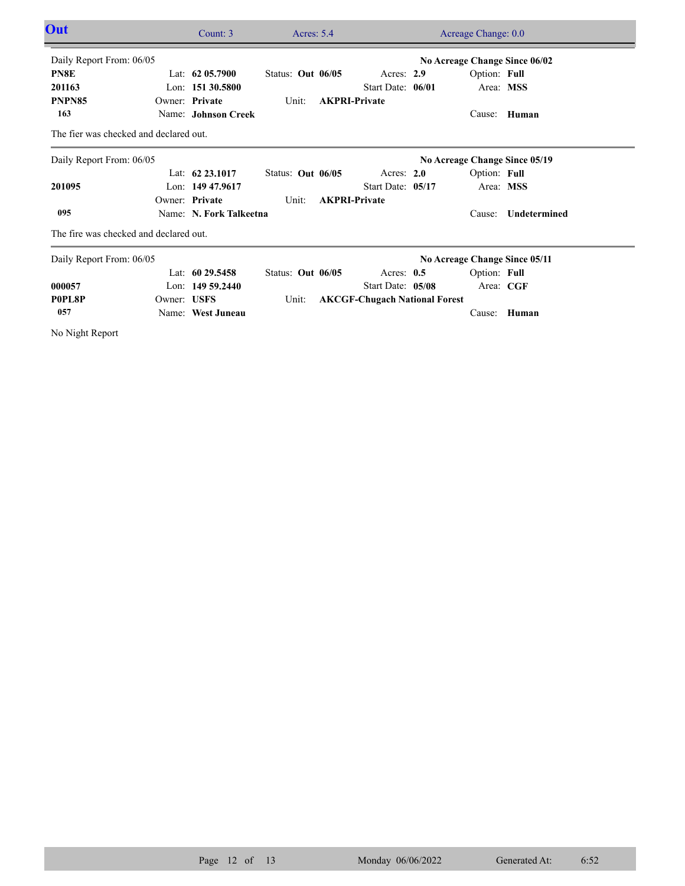| Out                                    |             | Count: $3$              | Acres: $5.4$      |                                      | Acreage Change: 0.0           |              |  |
|----------------------------------------|-------------|-------------------------|-------------------|--------------------------------------|-------------------------------|--------------|--|
| Daily Report From: 06/05               |             |                         |                   |                                      | No Acreage Change Since 06/02 |              |  |
| PN8E                                   |             | Lat: $62,05,7900$       | Status: Out 06/05 | Acres: $2.9$                         | Option: Full                  |              |  |
| 201163                                 |             | Lon: $15130.5800$       |                   | Start Date: 06/01                    | Area: MSS                     |              |  |
| PNPN85                                 |             | Owner: Private          | Unit:             | <b>AKPRI-Private</b>                 |                               |              |  |
| 163                                    |             | Name: Johnson Creek     |                   |                                      | Cause:                        | Human        |  |
| The fier was checked and declared out. |             |                         |                   |                                      |                               |              |  |
| Daily Report From: 06/05               |             |                         |                   |                                      | No Acreage Change Since 05/19 |              |  |
|                                        |             | Lat: $62\,23.1017$      | Status: Out 06/05 | Acres: $2.0$                         | Option: Full                  |              |  |
| 201095                                 |             | Lon: 149 47.9617        |                   | Start Date: 05/17                    | Area: MSS                     |              |  |
|                                        |             | Owner: Private          | Unit:             | <b>AKPRI-Private</b>                 |                               |              |  |
| 095                                    |             | Name: N. Fork Talkeetna |                   |                                      | Cause:                        | Undetermined |  |
| The fire was checked and declared out. |             |                         |                   |                                      |                               |              |  |
| Daily Report From: 06/05               |             |                         |                   |                                      | No Acreage Change Since 05/11 |              |  |
|                                        |             | Lat: $6029.5458$        | Status: Out 06/05 | Acres: $0.5$                         | Option: Full                  |              |  |
| 000057                                 |             | Lon: $14959.2440$       |                   | Start Date: 05/08                    | Area: CGF                     |              |  |
| P0PL8P                                 | Owner: USFS |                         | Unit:             | <b>AKCGF-Chugach National Forest</b> |                               |              |  |
| 057                                    |             | Name: West Juneau       |                   |                                      |                               | Cause: Human |  |

No Night Report